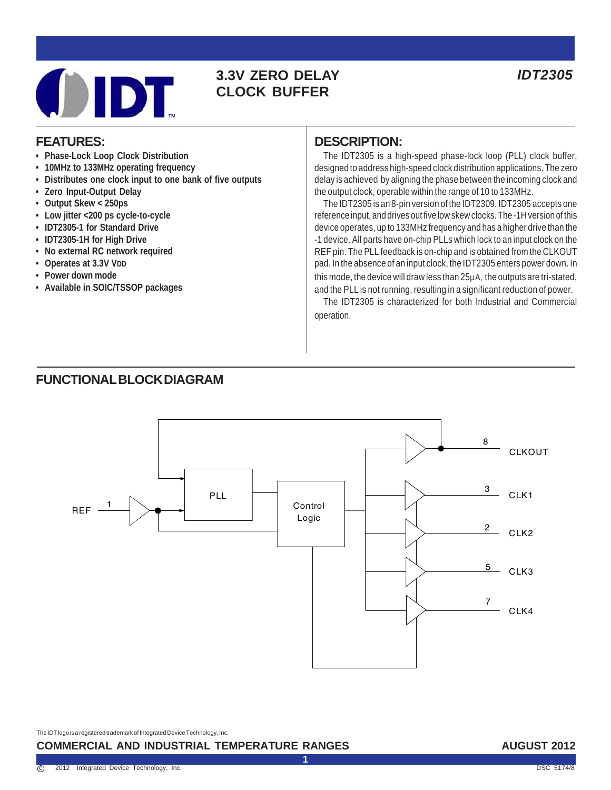

## **3.3V ZERO DELAY** *IDT2305* **CLOCK BUFFER**

#### **FEATURES:**

- **Phase-Lock Loop Clock Distribution**
- **10MHz to 133MHz operating frequency**
- **Distributes one clock input to one bank of five outputs**
- **Zero Input-Output Delay**
- **Output Skew < 250ps**
- **Low jitter <200 ps cycle-to-cycle**
- **IDT2305-1 for Standard Drive**
- **IDT2305-1H for High Drive**
- **No external RC network required**
- **Operates at 3.3V VDD**
- **Power down mode**
- **Available in SOIC/TSSOP packages**

#### **DESCRIPTION:**

The IDT2305 is a high-speed phase-lock loop (PLL) clock buffer, designed to address high-speed clock distribution applications. The zero delay is achieved by aligning the phase between the incoming clock and the output clock, operable within the range of 10 to 133MHz.

The IDT2305 is an 8-pin version of the IDT2309. IDT2305 accepts one reference input, and drives out five low skew clocks. The -1H version of this device operates, up to 133MHz frequency and has a higher drive than the -1 device. All parts have on-chip PLLs which lock to an input clock on the REF pin. The PLL feedback is on-chip and is obtained from the CLKOUT pad. In the absence of an input clock, the IDT2305 enters power down. In this mode, the device will draw less than 25µA, the outputs are tri-stated, and the PLL is not running, resulting in a significant reduction of power.

The IDT2305 is characterized for both Industrial and Commercial operation.

#### **FUNCTIONAL BLOCK DIAGRAM**



**1**

The IDT logo is a registered trademark of Integrated Device Technology, Inc.

#### **COMMERCIAL AND INDUSTRIAL TEMPERATURE RANGES**

#### **AUGUST 2012**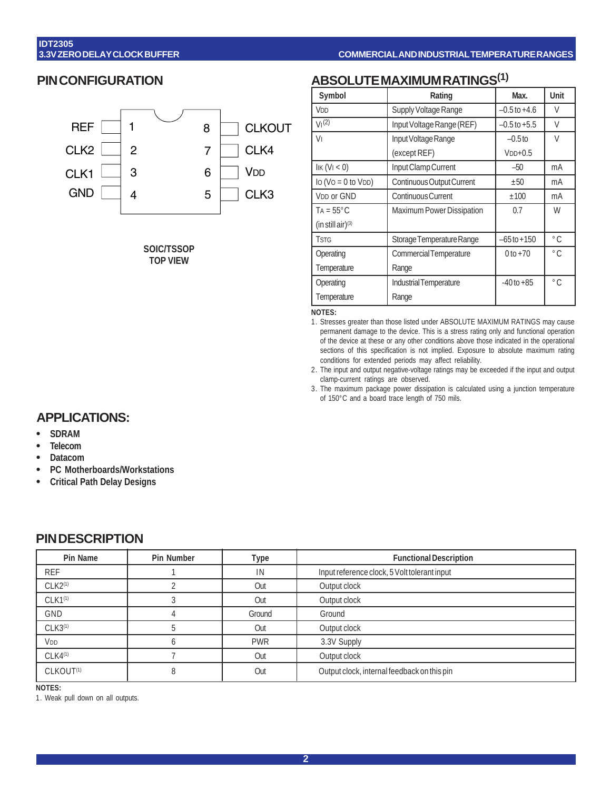#### **PIN CONFIGURATION**



**SOIC/TSSOP TOP VIEW**

# **ABSOLUTE MAXIMUM RATINGS(1)**

| Symbol                              | Rating                    | Max.             | Unit          |
|-------------------------------------|---------------------------|------------------|---------------|
| V <sub>DD</sub>                     | Supply Voltage Range      | $-0.5$ to $+4.6$ | V             |
| V <sub>1</sub> (2)                  | Input Voltage Range (REF) | $-0.5$ to $+5.5$ | V             |
| V١                                  | Input Voltage Range       | $-0.5$ to        | V             |
|                                     | (except REF)              | $VDD+0.5$        |               |
| $I$ IK $(VI < 0)$                   | Input Clamp Current       | $-50$            | mA            |
| $\log (V_O = 0 \text{ to } V_{DD})$ | Continuous Output Current | ±50              | mA            |
| <b>VDD or GND</b>                   | <b>Continuous Current</b> | ±100             | mA            |
| $Ta = 55^{\circ}C$                  | Maximum Power Dissipation | 0.7              | W             |
| (in still air) $(3)$                |                           |                  |               |
| <b>TSTG</b>                         | Storage Temperature Range | $-65$ to $+150$  | $^{\circ}$ C. |
| Operating                           | Commercial Temperature    | $0 to +70$       | $^{\circ}$ C. |
| Temperature                         | Range                     |                  |               |
| Operating                           | Industrial Temperature    | $-40$ to $+85$   | $^{\circ}$ C. |
| Temperature                         | Range                     |                  |               |

**NOTES:**

1. Stresses greater than those listed under ABSOLUTE MAXIMUM RATINGS may cause permanent damage to the device. This is a stress rating only and functional operation of the device at these or any other conditions above those indicated in the operational sections of this specification is not implied. Exposure to absolute maximum rating conditions for extended periods may affect reliability.

2. The input and output negative-voltage ratings may be exceeded if the input and output clamp-current ratings are observed.

3. The maximum package power dissipation is calculated using a junction temperature of 150°C and a board trace length of 750 mils.

#### **APPLICATIONS:**

- **• SDRAM**
- **• Telecom**
- **• Datacom**
- **• PC Motherboards/Workstations**
- **• Critical Path Delay Designs**

#### **PIN DESCRIPTION**

| Pin Name              | <b>Pin Number</b> | Type       | <b>Functional Description</b>                |
|-----------------------|-------------------|------------|----------------------------------------------|
| <b>REF</b>            |                   | IN         | Input reference clock, 5 Volt tolerant input |
| $CLK2^{(1)}$          |                   | Out        | Output clock                                 |
| $CLK1^{(1)}$          |                   | Out        | Output clock                                 |
| GND                   |                   | Ground     | Ground                                       |
| $CLK3^{(1)}$          |                   | Out        | Output clock                                 |
| V <sub>DD</sub>       |                   | <b>PWR</b> | 3.3V Supply                                  |
| $CLK4^{(1)}$          |                   | Out        | Output clock                                 |
| CLKOUT <sup>(1)</sup> |                   | Out        | Output clock, internal feedback on this pin  |

**NOTES:**

1. Weak pull down on all outputs.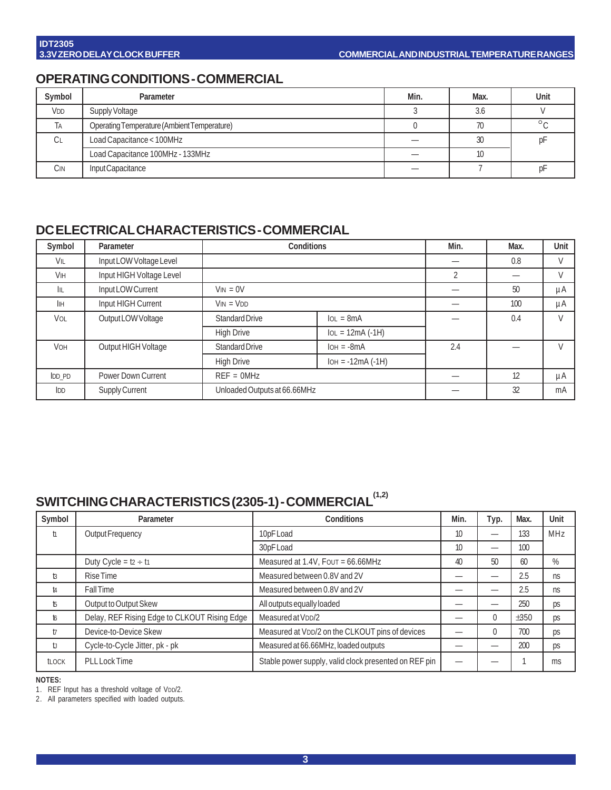## **OPERATING CONDITIONS - COMMERCIAL**

| Symbol          | Parameter                                   | Min. | Max. | Unit    |
|-----------------|---------------------------------------------|------|------|---------|
| V <sub>DD</sub> | Supply Voltage                              |      | 3.6  |         |
| TA              | Operating Temperature (Ambient Temperature) |      | 70   | $\circ$ |
| СL              | Load Capacitance < 100MHz                   |      | 30   | DI      |
|                 | Load Capacitance 100MHz - 133MHz            |      |      |         |
| Cin             | Input Capacitance                           |      |      | рı      |

### **DC ELECTRICAL CHARACTERISTICS - COMMERCIAL**

| Symbol        | Parameter                | <b>Conditions</b>            |                     | Min. | Max. | Unit |
|---------------|--------------------------|------------------------------|---------------------|------|------|------|
| VIL           | Input LOW Voltage Level  |                              |                     |      | 0.8  | V    |
| <b>VIH</b>    | Input HIGH Voltage Level |                              |                     | 2    |      | V    |
| IIL           | Input LOW Current        | $V_{IN} = 0V$                |                     |      | 50   | μA   |
| IІн           | Input HIGH Current       | $VIN = VDD$                  |                     |      | 100  | μA   |
| VOL           | Output LOW Voltage       | Standard Drive               | $IOL = 8mA$         |      | 0.4  | V    |
|               |                          | <b>High Drive</b>            | $IOL = 12mA (-1H)$  |      |      |      |
| <b>VOH</b>    | Output HIGH Voltage      | <b>Standard Drive</b>        | $IOH = -8mA$        | 2.4  |      | V    |
|               |                          | <b>High Drive</b>            | $IOH = -12mA (-1H)$ |      |      |      |
| <b>IDD PD</b> | Power Down Current       | $REF = 0MHz$                 |                     |      | 12   | μA   |
| IDD           | Supply Current           | Unloaded Outputs at 66.66MHz |                     |      | 32   | mA   |

# SWITCHING CHARACTERISTICS (2305-1) - COMMERCIAL<sup>(1,2)</sup>

| Symbol       | Parameter                                                                      | <b>Conditions</b>                                     | Min. | Typ.     | Max. | Unit       |
|--------------|--------------------------------------------------------------------------------|-------------------------------------------------------|------|----------|------|------------|
| ħ            | Output Frequency                                                               | 10pF Load                                             | 10   | –        | 133  | <b>MHz</b> |
|              |                                                                                | 30pF Load                                             | 10   | _        | 100  |            |
|              | Duty Cycle = $t_2 \div t_1$                                                    | Measured at 1.4V, Four = 66.66MHz                     | 40   | 50       | 60   | %          |
| t3           | <b>Rise Time</b>                                                               | Measured between 0.8V and 2V                          |      |          | 2.5  | ns         |
| t4           | <b>FallTime</b>                                                                | Measured between 0.8V and 2V                          |      |          | 2.5  | ns         |
| $\sqrt{5}$   | Output to Output Skew                                                          | All outputs equally loaded                            |      | –        | 250  | ps         |
| t6           | Delay, REF Rising Edge to CLKOUT Rising Edge<br>Measured at V <sub>DD</sub> /2 |                                                       |      | $\theta$ | ±350 | ps         |
| $\mathsf{t}$ | Device-to-Device Skew<br>Measured at VDD/2 on the CLKOUT pins of devices       |                                                       |      | $\theta$ | 700  | ps         |
| t            | Cycle-to-Cycle Jitter, pk - pk                                                 | Measured at 66.66MHz, loaded outputs                  |      |          | 200  | ps         |
| <b>tLOCK</b> | <b>PLL Lock Time</b>                                                           | Stable power supply, valid clock presented on REF pin |      |          |      | ms         |

**NOTES:**

1. REF Input has a threshold voltage of VDD/2.

2. All parameters specified with loaded outputs.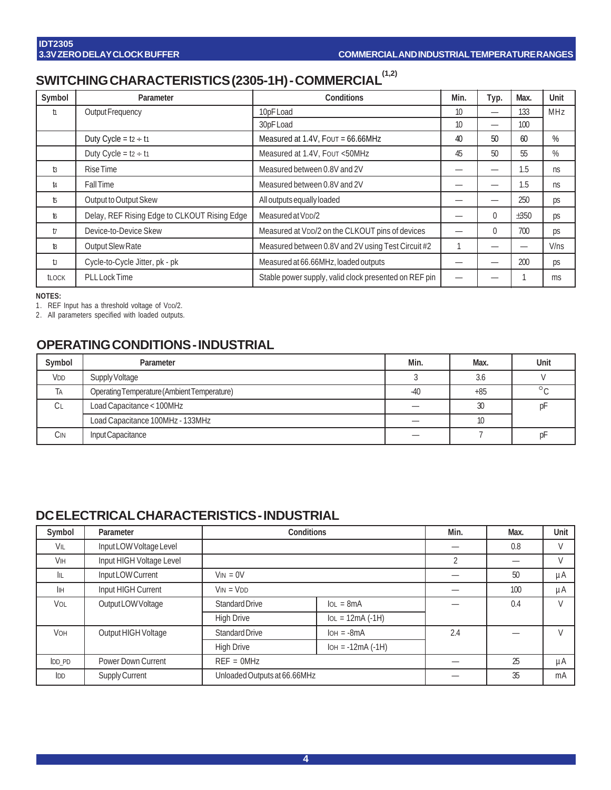# SWITCHING CHARACTERISTICS (2305-1H) - COMMERCIAL<sup>(1,2)</sup>

| Symbol         | Parameter                                    | <b>Conditions</b>                                     | Min. | Typ.                     | Max. | Unit |
|----------------|----------------------------------------------|-------------------------------------------------------|------|--------------------------|------|------|
| ħ              | Output Frequency                             | 10pF Load                                             | 10   | $\overline{\phantom{0}}$ | 133  | MHz  |
|                |                                              | 30pF Load                                             | 10   | $\overline{\phantom{0}}$ | 100  |      |
|                | Duty Cycle = $t_2 \div t_1$                  | Measured at 1.4V, Four = 66.66MHz                     | 40   | 50                       | 60   | %    |
|                | Duty Cycle = $t_2 \div t_1$                  | Measured at 1.4V, Four <50MHz                         | 45   | 50                       | 55   | %    |
| $\mathfrak{g}$ | Rise Time                                    | Measured between 0.8V and 2V                          |      | –                        | 1.5  | ns   |
| t4             | <b>Fall Time</b>                             | Measured between 0.8V and 2V                          |      |                          | 1.5  | ns   |
| <b>b</b>       | Output to Output Skew                        | All outputs equally loaded                            |      |                          | 250  | ps   |
| t6             | Delay, REF Rising Edge to CLKOUT Rising Edge | Measured at V <sub>DD</sub> /2                        |      | $\theta$                 | ±350 | ps   |
| t              | Device-to-Device Skew                        | Measured at VDD/2 on the CLKOUT pins of devices       |      | $\theta$                 | 700  | ps   |
| <b>B</b>       | Output Slew Rate                             | Measured between 0.8V and 2V using Test Circuit #2    |      | –                        | —    | V/ns |
| t              | Cycle-to-Cycle Jitter, pk - pk               | Measured at 66.66MHz, loaded outputs                  |      |                          | 200  | ps   |
| <b>TLOCK</b>   | <b>PLL Lock Time</b>                         | Stable power supply, valid clock presented on REF pin |      |                          |      | ms   |

**NOTES:**

1. REF Input has a threshold voltage of VDD/2.

2. All parameters specified with loaded outputs.

## **OPERATING CONDITIONS - INDUSTRIAL**

| Symbol          | Parameter                                   | Min.  | Max.            | Unit    |
|-----------------|---------------------------------------------|-------|-----------------|---------|
| V <sub>DD</sub> | Supply Voltage                              |       | 3.6             |         |
| Tа              | Operating Temperature (Ambient Temperature) | $-40$ | $+85$           | $\circ$ |
| Cг              | Load Capacitance < 100MHz                   |       | 30              | рF      |
|                 | Load Capacitance 100MHz - 133MHz            |       | 10 <sup>°</sup> |         |
| CIN             | Input Capacitance                           |       |                 | рF      |

### **DC ELECTRICAL CHARACTERISTICS - INDUSTRIAL**

| Symbol                | Parameter                | <b>Conditions</b>            |                     | Min.           | Max. | Unit   |
|-----------------------|--------------------------|------------------------------|---------------------|----------------|------|--------|
| VIL                   | Input LOW Voltage Level  |                              |                     |                | 0.8  | V      |
| <b>V<sub>IH</sub></b> | Input HIGH Voltage Level |                              |                     | $\overline{2}$ |      | V      |
| IIL                   | Input LOW Current        | $V_{IN} = 0V$                |                     |                | 50   | μA     |
| İІН                   | Input HIGH Current       | $VIN = VDD$                  |                     |                | 100  | μA     |
| VOL                   | Output LOW Voltage       | <b>Standard Drive</b>        | $IOL = 8mA$         |                | 0.4  | $\vee$ |
|                       |                          | <b>High Drive</b>            | $IOL = 12mA (-1H)$  |                |      |        |
| <b>VOH</b>            | Output HIGH Voltage      | <b>Standard Drive</b>        | $IOH = -8mA$        | 2.4            |      | $\vee$ |
|                       |                          | <b>High Drive</b>            | $IOH = -12mA (-1H)$ |                |      |        |
| <b>IDD PD</b>         | Power Down Current       | $REF = OMHz$                 |                     |                | 25   | μA     |
| IDD                   | Supply Current           | Unloaded Outputs at 66.66MHz |                     |                | 35   | mA     |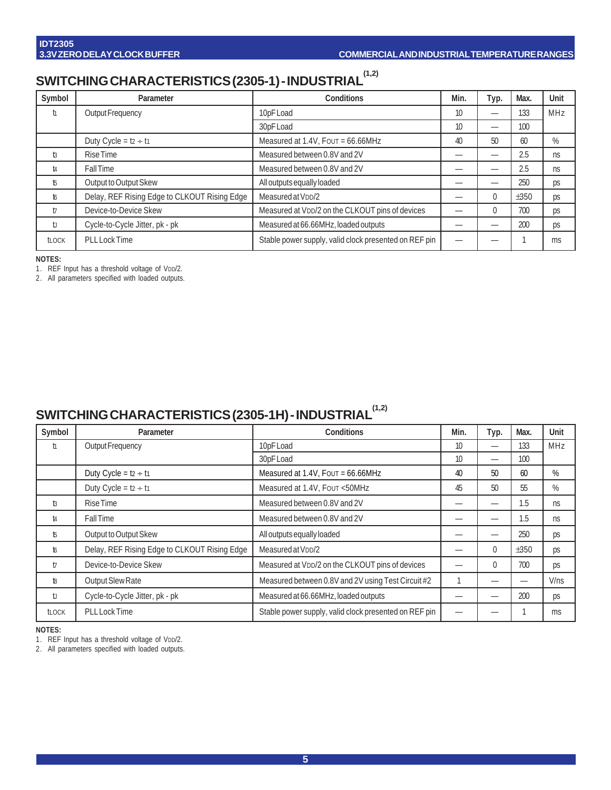# **SWITCHING CHARACTERISTICS (2305-1) - INDUSTRIAL (1,2)**

| Symbol       | Parameter                                                                      | Conditions                                            | Min. | Typ.     | Max. | Unit |
|--------------|--------------------------------------------------------------------------------|-------------------------------------------------------|------|----------|------|------|
| ħ            | Output Frequency                                                               | 10pF Load                                             | 10   | _        | 133  | MHz  |
|              |                                                                                | 30pF Load                                             | 10   | _        | 100  |      |
|              | Duty Cycle = $t_2 \div t_1$                                                    | Measured at 1.4V, Four = 66.66MHz                     | 40   | 50       | 60   | %    |
| $t_3$        | Rise Time                                                                      | Measured between 0.8V and 2V                          |      |          | 2.5  | ns   |
| t4           | <b>Fall Time</b>                                                               | Measured between 0.8V and 2V                          |      |          | 2.5  | ns   |
| t5           | Output to Output Skew                                                          | All outputs equally loaded                            |      |          | 250  | ps   |
| t6           | Delay, REF Rising Edge to CLKOUT Rising Edge<br>Measured at V <sub>DD</sub> /2 |                                                       |      | $\Omega$ | ±350 | ps   |
| $\mathsf{t}$ | Device-to-Device Skew                                                          | Measured at VDD/2 on the CLKOUT pins of devices       |      | $\theta$ | 700  | ps   |
| U            | Cycle-to-Cycle Jitter, pk - pk                                                 | Measured at 66.66MHz, loaded outputs                  |      |          | 200  | ps   |
| <b>tLOCK</b> | <b>PLL Lock Time</b>                                                           | Stable power supply, valid clock presented on REF pin |      |          |      | ms   |

**NOTES:**

1. REF Input has a threshold voltage of VDD/2.

2. All parameters specified with loaded outputs.

# SWITCHING CHARACTERISTICS (2305-1H) - INDUSTRIAL<sup>(1,2)</sup>

| Symbol         | Parameter                                    | <b>Conditions</b>                                     | Min. | Typ.                     | Max. | Unit |
|----------------|----------------------------------------------|-------------------------------------------------------|------|--------------------------|------|------|
| ħ              | Output Frequency                             | 10pF Load                                             | 10   | $\overline{\phantom{0}}$ | 133  | MHz  |
|                |                                              | 30pF Load                                             | 10   | $\overline{\phantom{0}}$ | 100  |      |
|                | Duty Cycle = $t_2 \div t_1$                  | Measured at 1.4V, Four = 66.66MHz                     | 40   | 50                       | 60   | %    |
|                | Duty Cycle = $tz \div t1$                    | Measured at 1.4V, Four <50MHz                         | 45   | 50                       | 55   | %    |
| t <sub>3</sub> | <b>Rise Time</b>                             | Measured between 0.8V and 2V                          |      | —                        | 1.5  | ns   |
| t4             | <b>Fall Time</b>                             | Measured between 0.8V and 2V                          |      | —                        | 1.5  | ns   |
| f,             | Output to Output Skew                        | All outputs equally loaded                            |      |                          | 250  | ps   |
| t6             | Delay, REF Rising Edge to CLKOUT Rising Edge | Measured at V <sub>DD</sub> /2                        |      | $\Omega$                 | ±350 | ps   |
| $\mathsf{t}$   | Device-to-Device Skew                        | Measured at VDD/2 on the CLKOUT pins of devices       |      | $\theta$                 | 700  | ps   |
| t8             | Output Slew Rate                             | Measured between 0.8V and 2V using Test Circuit #2    |      |                          |      | V/ns |
| t              | Cycle-to-Cycle Jitter, pk - pk               | Measured at 66.66MHz, loaded outputs                  |      | –                        | 200  | ps   |
| <b>TLOCK</b>   | <b>PLL Lock Time</b>                         | Stable power supply, valid clock presented on REF pin |      |                          |      | ms   |

**NOTES:**

1. REF Input has a threshold voltage of VDD/2.

2. All parameters specified with loaded outputs.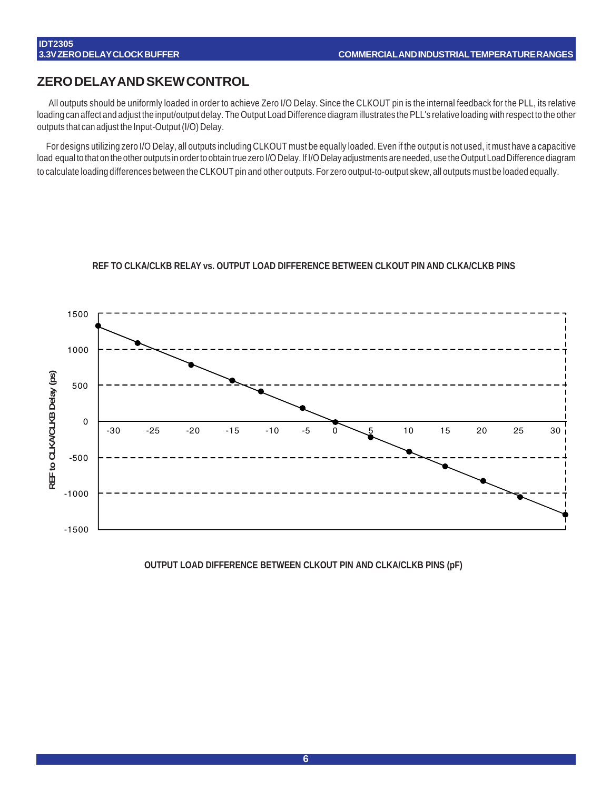#### **ZERO DELAY AND SKEW CONTROL**

All outputs should be uniformly loaded in order to achieve Zero I/O Delay. Since the CLKOUT pin is the internal feedback for the PLL, its relative loading can affect and adjust the input/output delay. The Output Load Difference diagram illustrates the PLL's relative loading with respect to the other outputs that can adjust the Input-Output (I/O) Delay.

For designs utilizing zero I/O Delay, all outputs including CLKOUT must be equally loaded. Even if the output is not used, it must have a capacitive load equal to that on the other outputs in order to obtain true zero I/O Delay. If I/O Delay adjustments are needed, use the Output Load Difference diagram to calculate loading differences between the CLKOUT pin and other outputs. For zero output-to-output skew, all outputs must be loaded equally.

# 1500 1000 REF to CLKA/CLKB Delay (ps) **REF to CLKA/CLKB Delay (ps)** 500 0 -30 -25 -20 -15 -10 -5 0 <u>-5</u> 10 15 20 25 30 -500 -1000 -1500

#### **REF TO CLKA/CLKB RELAY vs. OUTPUT LOAD DIFFERENCE BETWEEN CLKOUT PIN AND CLKA/CLKB PINS**

**OUTPUT LOAD DIFFERENCE BETWEEN CLKOUT PIN AND CLKA/CLKB PINS (pF)**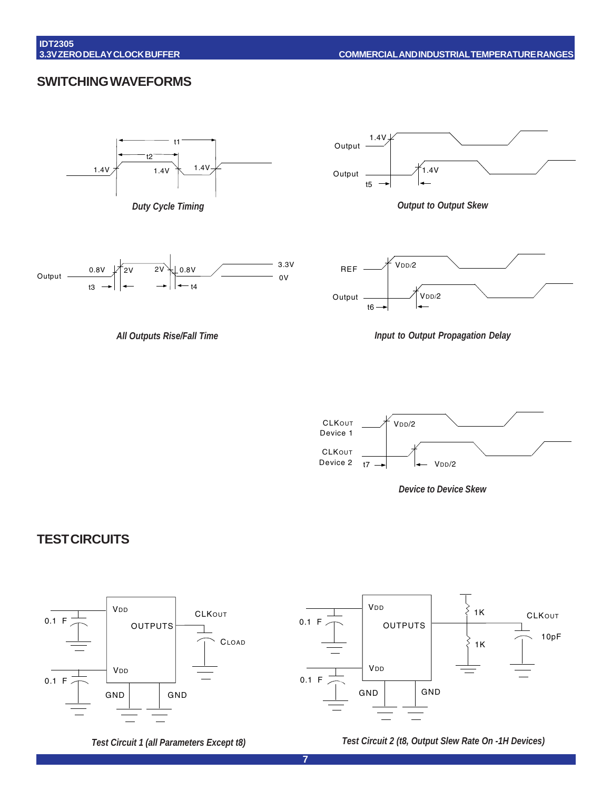#### **SWITCHING WAVEFORMS**









*All Outputs Rise/Fall Time Input to Output Propagation Delay*





### **TEST CIRCUITS**



*Test Circuit 1 (all Parameters Except t8) Test Circuit 2 (t8, Output Slew Rate On -1H Devices)*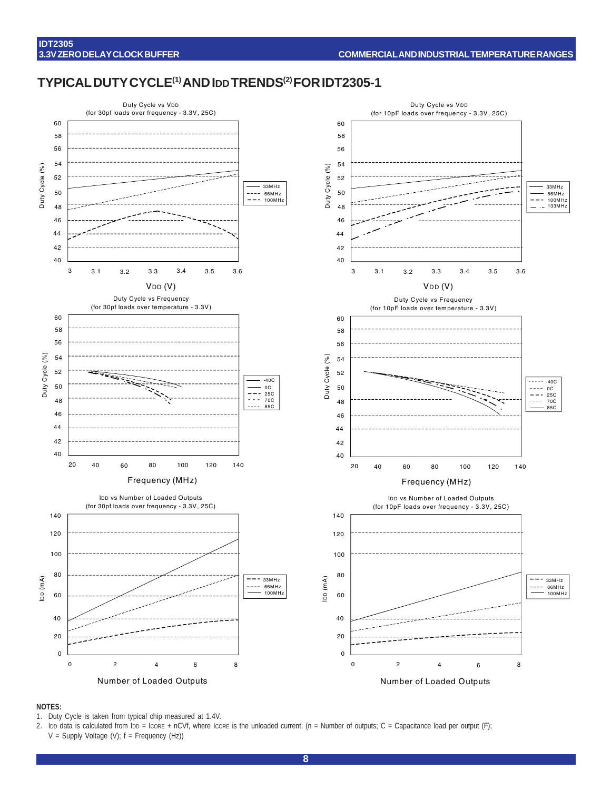#### **TYPICAL DUTY CYCLE(1) AND IDD TRENDS(2) FOR IDT2305-1**



#### **NOTES:**

- 1. Duty Cycle is taken from typical chip measured at 1.4V.
- 2. Ibp data is calculated from Ipp = Icore + nCVf, where Icore is the unloaded current. (n = Number of outputs; C = Capacitance load per output (F); V = Supply Voltage (V); f = Frequency (Hz))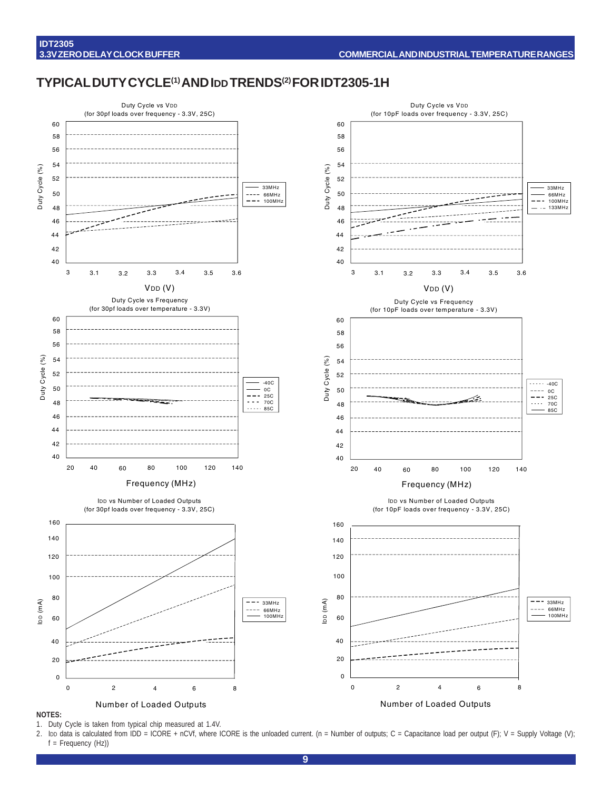#### **TYPICAL DUTY CYCLE(1) AND IDD TRENDS(2) FOR IDT2305-1H**



#### **NOTES:**

1. Duty Cycle is taken from typical chip measured at 1.4V.

2. Ibp data is calculated from IDD = ICORE + nCVf, where ICORE is the unloaded current. (n = Number of outputs; C = Capacitance load per output (F); V = Supply Voltage (V); f = Frequency (Hz))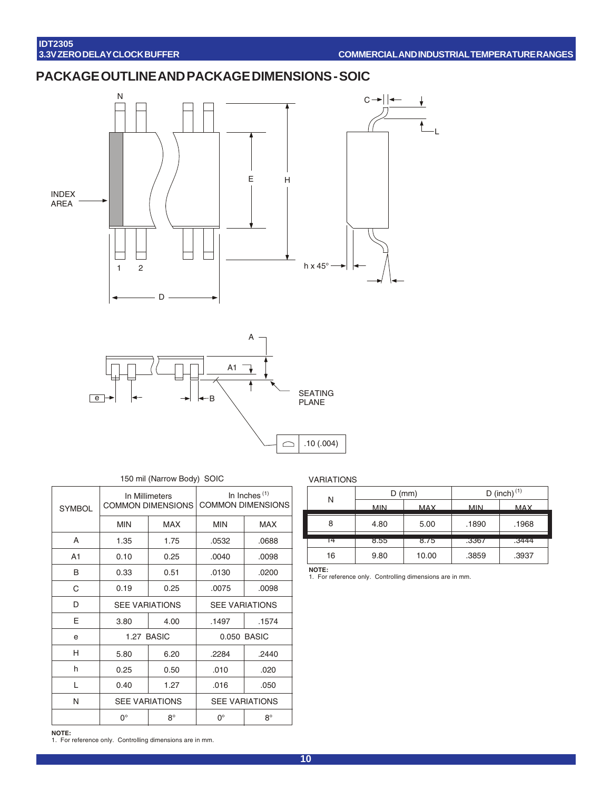## **PACKAGE OUTLINE AND PACKAGE DIMENSIONS - SOIC**





#### 150 mil (Narrow Body) SOIC

| <b>SYMBOL</b> | In Inches $(1)$<br>In Millimeters<br><b>COMMON DIMENSIONS</b><br><b>COMMON DIMENSIONS</b> |                       |                       |             |  |
|---------------|-------------------------------------------------------------------------------------------|-----------------------|-----------------------|-------------|--|
|               | <b>MIN</b>                                                                                | <b>MAX</b>            | <b>MIN</b>            | <b>MAX</b>  |  |
| A             | 1.35                                                                                      | 1.75                  | .0532                 | .0688       |  |
| A1            | 0.10                                                                                      | 0.25                  | .0040                 | .0098       |  |
| В             | 0.33                                                                                      | 0.51                  | .0130                 | .0200       |  |
| С             | 0.19                                                                                      | 0.25                  | .0075                 | .0098       |  |
| D             | <b>SEE VARIATIONS</b>                                                                     |                       | <b>SEE VARIATIONS</b> |             |  |
| E             | 3.80                                                                                      | 4.00                  | .1497                 | .1574       |  |
| e             | 1.27 BASIC                                                                                |                       |                       | 0.050 BASIC |  |
| H             | 5.80                                                                                      | 6.20                  | .2284                 | .2440       |  |
| h             | 0.25                                                                                      | 0.50                  | .010                  | .020        |  |
| L             | 0.40                                                                                      | 1.27                  | .016<br>.050          |             |  |
| N             |                                                                                           | <b>SEE VARIATIONS</b> | <b>SEE VARIATIONS</b> |             |  |
|               | 0°                                                                                        | $8^\circ$             | $0^{\circ}$           | $8^\circ$   |  |

#### VARIATIONS

| N  |            | $D$ (mm)   |            | D (inch) $(1)$ |
|----|------------|------------|------------|----------------|
|    | <b>MIN</b> | <b>MAX</b> | <b>MIN</b> | <b>MAX</b>     |
| 8  | 4.80       | 5.00       | .1890      | .1968          |
| Γ4 | 8.55       | 8.75       | .3367      | .3444          |
| 16 | 9.80       | 10.00      | .3859      | .3937          |

**NOTE:** 1. For reference only. Controlling dimensions are in mm.

**NOTE:** 1. For reference only. Controlling dimensions are in mm.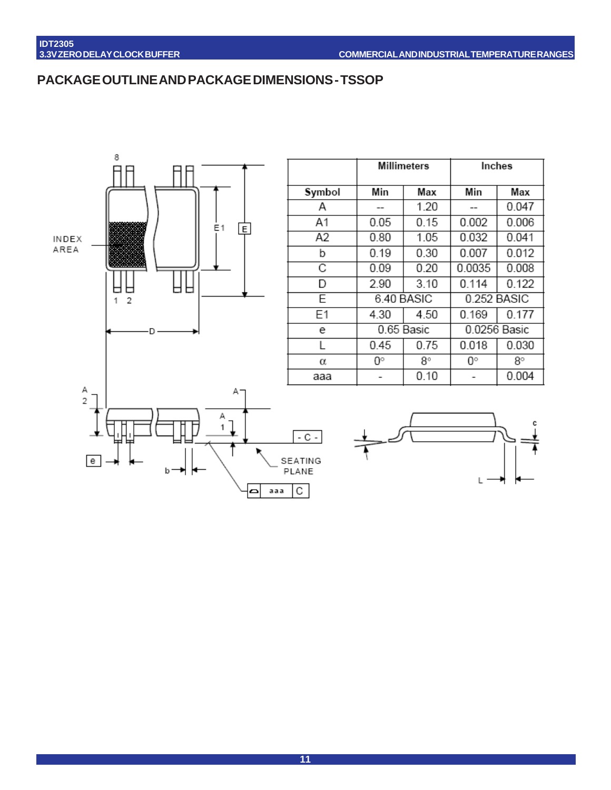## **PACKAGE OUTLINE AND PACKAGE DIMENSIONS - TSSOP**



|        | <b>Millimeters</b> |      | Inches       |       |
|--------|--------------------|------|--------------|-------|
| Symbol | Min                | Max  | Min          | Max   |
| Α      |                    | 1.20 |              | 0.047 |
| A1     | 0.05               | 0.15 | 0.002        | 0.006 |
| A2     | 0.80               | 1.05 | 0.032        | 0.041 |
| b      | 0.19               | 0.30 | 0.007        | 0.012 |
| С      | 0.09               | 0.20 | 0.0035       | 0.008 |
| D      | 2.90               | 3.10 | 0.114        | 0.122 |
| E      | 6.40 BASIC         |      | 0.252 BASIC  |       |
| E1     | 4.30               | 4.50 | 0.169        | 0.177 |
| e      | 0.65 Basic         |      | 0.0256 Basic |       |
| L      | 0.45               | 0.75 | 0.018        | 0.030 |
| α      | 0°                 | 8°   | 0°           | 8°    |
| ааа    |                    | 0.10 |              | 0.004 |